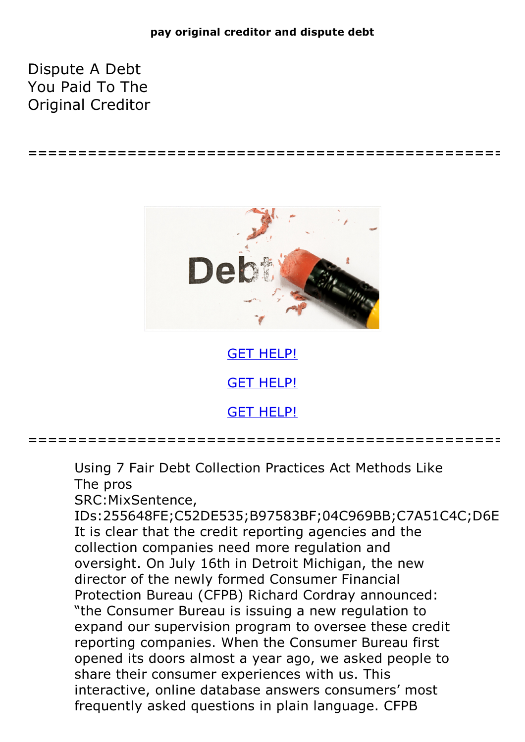## **pay original creditor and dispute debt**

Dispute A Debt You Paid To The Original Creditor



**================================================**

GET [HELP!](https://runpdf.xyz/pdf) GET [HELP!](https://runpdf.xyz/pdf) GET [HELP!](https://runpdf.xyz/pdf)

**================================================**

Using 7 Fair Debt Collection Practices Act Methods Like The pros SRC:MixSentence,

IDs:255648FE;C52DE535;B97583BF;04C969BB;C7A51C4C;D6E It is clear that the credit reporting agencies and the collection companies need more regulation and oversight. On July 16th in Detroit Michigan, the new director of the newly formed Consumer Financial Protection Bureau (CFPB) Richard Cordray announced: "the Consumer Bureau is issuing a new regulation to expand our supervision program to oversee these credit reporting companies. When the Consumer Bureau first opened its doors almost a year ago, we asked people to share their consumer experiences with us. This interactive, online database answers consumers' most frequently asked questions in plain language. CFPB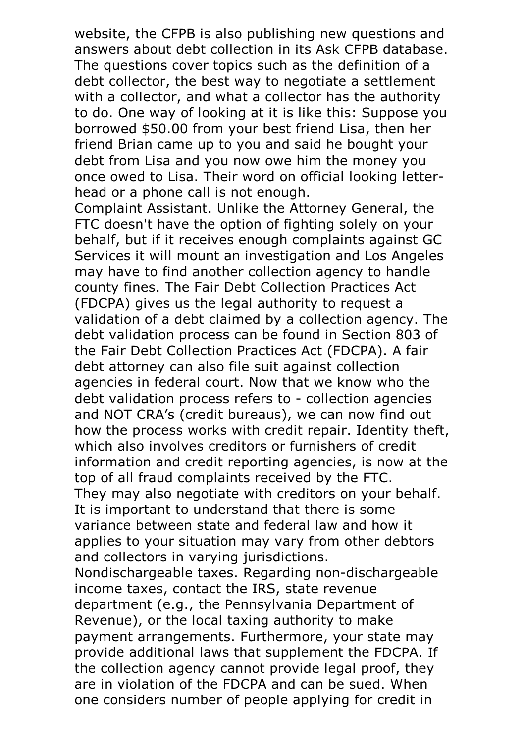website, the CFPB is also publishing new questions and answers about debt collection in its Ask CFPB database. The questions cover topics such as the definition of <sup>a</sup> debt collector, the best way to negotiate a settlement with a collector, and what a collector has the authority to do. One way of looking at it is like this: Suppose you borrowed \$50.00 from your best friend Lisa, then her friend Brian came up to you and said he bought your debt from Lisa and you now owe him the money you once owed to Lisa. Their word on official looking letter- head or <sup>a</sup> phone call is not enough. Complaint Assistant. Unlike the Attorney General, the

FTC doesn't have the option of fighting solely on your behalf, but if it receives enough complaints against GC Services it will mount an investigation and Los Angeles may have to find another collection agency to handle county fines. The Fair Debt Collection Practices Act (FDCPA) gives us the legal authority to request a validation of a debt claimed by a collection agency. The debt validation process can be found in Section 803 of the Fair Debt Collection Practices Act (FDCPA). A fair debt attorney can also file suit against collection agencies in federal court. Now that we know who the debt validation process refers to - collection agencies and NOT CRA's (credit bureaus), we can now find out how the process works with credit repair. Identity theft, which also involves creditors or furnishers of credit information and credit reporting agencies, is now at the top of all fraud complaints received by the FTC. They may also negotiate with creditors on your behalf. It is important to understand that there is some variance between state and federal law and how it applies to your situation may vary from other debtors and collectors in varying jurisdictions. Nondischargeable taxes. Regarding non-dischargeable income taxes, contact the IRS, state revenue department (e.g., the Pennsylvania Department of Revenue), or the local taxing authority to make payment arrangements. Furthermore, your state may provide additional laws that supplement the FDCPA. If the collection agency cannot provide legal proof, they are in violation of the FDCPA and can be sued. When

one considers number of people applying for credit in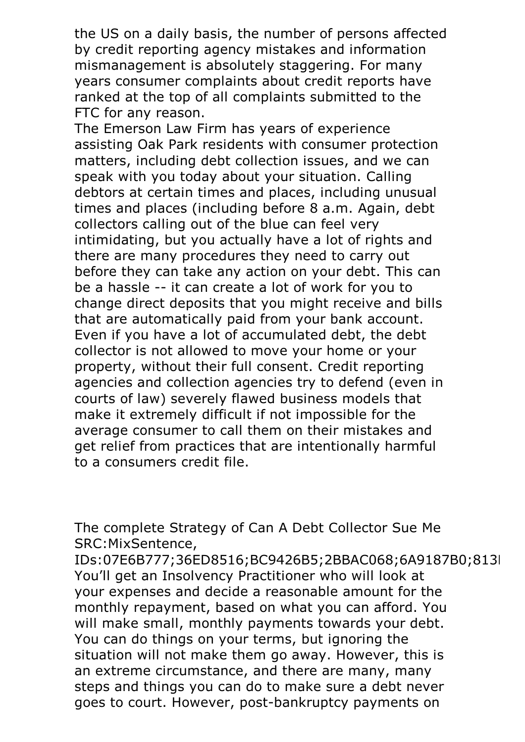the US on a daily basis, the number of persons affected by credit reporting agency mistakes and information mismanagement is absolutely staggering. For many years consumer complaints about credit reports have ranked at the top of all complaints submitted to the FTC for any reason. The Emerson Law Firm has years of experience

assisting Oak Park residents with consumer protection matters, including debt collection issues, and we can speak with you today about your situation. Calling debtors at certain times and places, including unusual times and places (including before 8 a.m. Again, debt collectors calling out of the blue can feel very intimidating, but you actually have a lot of rights and there are many procedures they need to carry out before they can take any action on your debt. This can be a hassle -- it can create a lot of work for you to change direct deposits that you might receive and bills that are automatically paid from your bank account. Even if you have <sup>a</sup> lot of accumulated debt, the debt collector is not allowed to move your home or your property, without their full consent. Credit reporting agencies and collection agencies try to defend (even in courts of law) severely flawed business models that make it extremely difficult if not impossible for the average consumer to call them on their mistakes and get relief from practices that are intentionally harmful to a consumers credit file.

The complete Strategy of Can A Debt Collector Sue Me SRC:MixSentence,

IDs:07E6B777;36ED8516;BC9426B5;2BBAC068;6A9187B0;813I You'll get an Insolvency Practitioner who will look at your expenses and decide a reasonable amount for the monthly repayment, based on what you can afford. You will make small, monthly payments towards your debt.<br>You can do things on your terms, but ignoring the situation will not make them go away. However, this is an extreme circumstance, and there are many, many steps and things you can do to make sure a debt never goes to court. However, post-bankruptcy payments on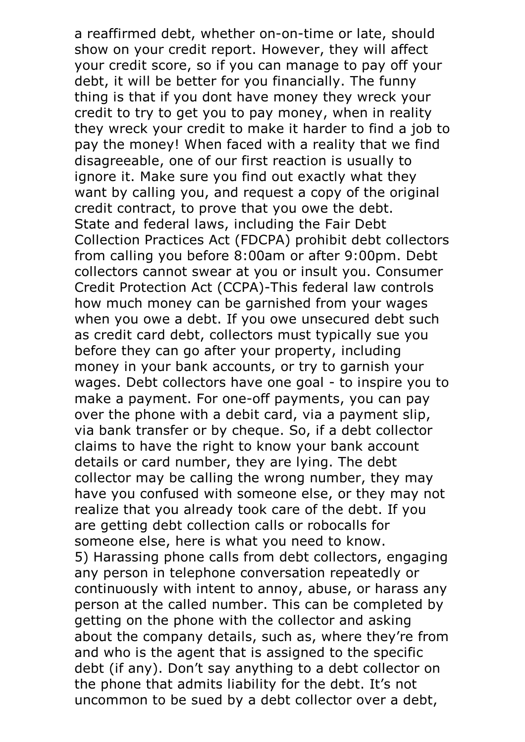a reaffirmed debt, whether on-on-time or late, should show on your credit report. However, they will affect your credit score, so if you can manage to pay off your debt, it will be better for you financially. The funny thing is that if you dont have money they wreck your credit to try to get you to pay money, when in reality they wreck your credit to make it harder to find a job to pay the money! When faced with a reality that we find disagreeable, one of our first reaction is usually to ignore it. Make sure you find out exactly what they want by calling you, and request a copy of the original credit contract, to prove that you owe the debt. State and federal laws, including the Fair Debt Collection Practices Act (FDCPA) prohibit debt collectors from calling you before 8:00am or after 9:00pm. Debt collectors cannot swear at you or insult you. Consumer Credit Protection Act (CCPA)-This federal law controls how much money can be garnished from your wages when you owe a debt. If you owe unsecured debt such as credit card debt, collectors must typically sue you before they can go after your property, including money in your bank accounts, or try to garnish your wages. Debt collectors have one goal - to inspire you to make a payment. For one-off payments, you can pay over the phone with a debit card, via a payment slip, via bank transfer or by cheque. So, if a debt collector claims to have the right to know your bank account details or card number, they are lying. The debt collector may be calling the wrong number, they may have you confused with someone else, or they may not realize that you already took care of the debt. If you are getting debt collection calls or robocalls for someone else, here is what you need to know. 5) Harassing phone calls from debt collectors, engaging any person in telephone conversation repeatedly or continuously with intent to annoy, abuse, or harass any person at the called number. This can be completed by getting on the phone with the collector and asking about the company details, such as, where they're from and who is the agent that is assigned to the specific debt (if any). Don't say anything to a debt collector on the phone that admits liability for the debt. It's not uncommon to be sued by a debt collector over a debt,